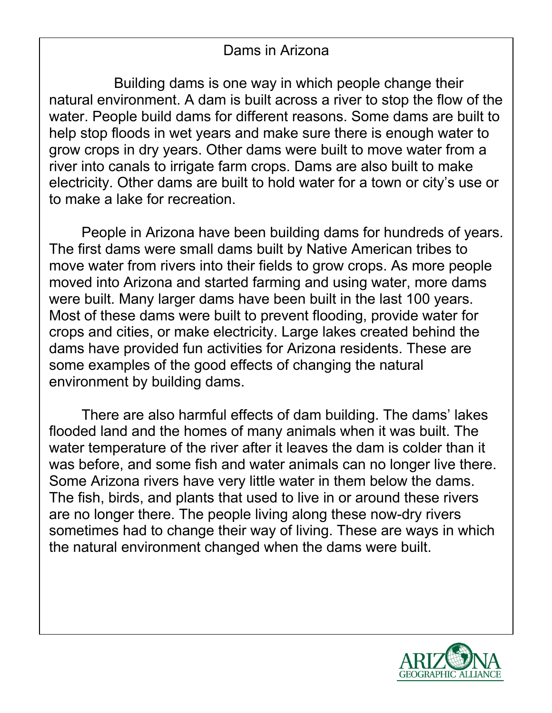## Dams in Arizona

Building dams is one way in which people change their natural environment. A dam is built across a river to stop the flow of the water. People build dams for different reasons. Some dams are built to help stop floods in wet years and make sure there is enough water to grow crops in dry years. Other dams were built to move water from a river into canals to irrigate farm crops. Dams are also built to make electricity. Other dams are built to hold water for a town or city's use or to make a lake for recreation.

People in Arizona have been building dams for hundreds of years. The first dams were small dams built by Native American tribes to move water from rivers into their fields to grow crops. As more people moved into Arizona and started farming and using water, more dams were built. Many larger dams have been built in the last 100 years. Most of these dams were built to prevent flooding, provide water for crops and cities, or make electricity. Large lakes created behind the dams have provided fun activities for Arizona residents. These are some examples of the good effects of changing the natural environment by building dams.

There are also harmful effects of dam building. The dams' lakes flooded land and the homes of many animals when it was built. The water temperature of the river after it leaves the dam is colder than it was before, and some fish and water animals can no longer live there. Some Arizona rivers have very little water in them below the dams. The fish, birds, and plants that used to live in or around these rivers are no longer there. The people living along these now-dry rivers sometimes had to change their way of living. These are ways in which the natural environment changed when the dams were built.

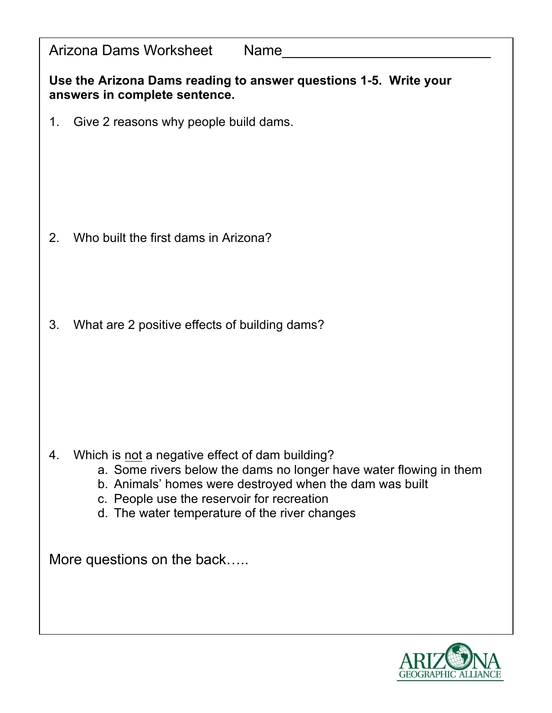| Arizona Dams Worksheet<br>Name                                                                                                |
|-------------------------------------------------------------------------------------------------------------------------------|
| Use the Arizona Dams reading to answer questions 1-5. Write your<br>answers in complete sentence.                             |
| Give 2 reasons why people build dams.<br>1.                                                                                   |
|                                                                                                                               |
|                                                                                                                               |
|                                                                                                                               |
| Who built the first dams in Arizona?<br>2.                                                                                    |
|                                                                                                                               |
|                                                                                                                               |
| 3.<br>What are 2 positive effects of building dams?                                                                           |
|                                                                                                                               |
|                                                                                                                               |
|                                                                                                                               |
| Which is not a negative effect of dam building?<br>4.                                                                         |
| a. Some rivers below the dams no longer have water flowing in them<br>b. Animals' homes were destroyed when the dam was built |
| c. People use the reservoir for recreation<br>d. The water temperature of the river changes                                   |
|                                                                                                                               |
| More questions on the back                                                                                                    |
|                                                                                                                               |
|                                                                                                                               |

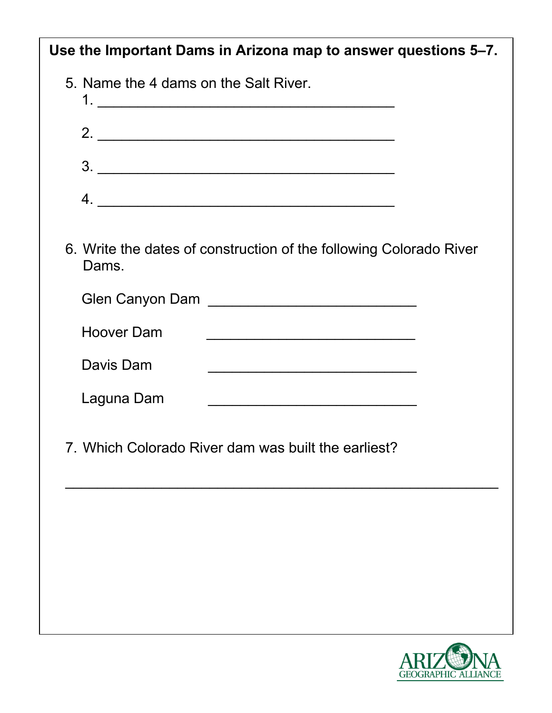| Use the Important Dams in Arizona map to answer questions 5–7.              |
|-----------------------------------------------------------------------------|
| 5. Name the 4 dams on the Salt River.                                       |
| 2.                                                                          |
| 3.                                                                          |
|                                                                             |
| 6. Write the dates of construction of the following Colorado River<br>Dams. |
|                                                                             |
| <b>Hoover Dam</b>                                                           |
| Davis Dam                                                                   |
| Laguna Dam                                                                  |
| 7. Which Colorado River dam was built the earliest?                         |
|                                                                             |
|                                                                             |
|                                                                             |
|                                                                             |
|                                                                             |